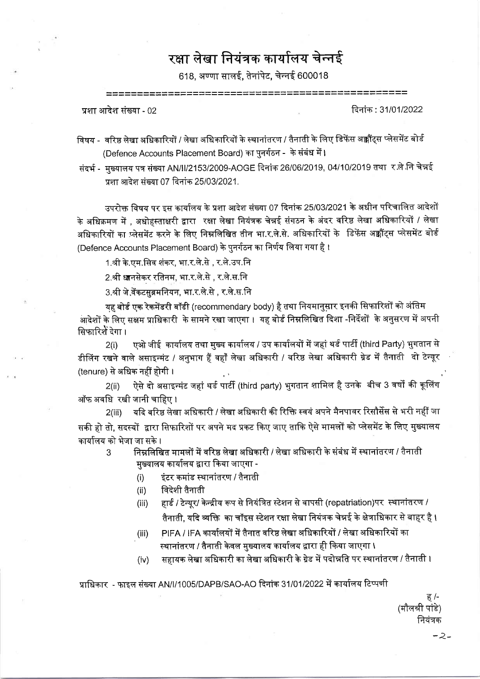रक्षा लेखा नियंत्रक कार्यालय चेन्नई

618. अण्णा सालई. तेनांपेट. चेन्नई 600018

प्रशा आदेश संख्या - 02

दिनांक : 31/01/2022

- विषय वरिष्ठ लेखा अधिकारियों / लेखा अधिकारियों के स्थानांतरण / तैनाती के लिए डिफेंस अक्कौंट्स प्लेसमेंट बोर्ड (Defence Accounts Placement Board) का पुनर्गठन - के संबंध में।
- संदर्भ मुख्यालय पत्र संख्या AN/II/2153/2009-AOGE दिनांक 26/06/2019, 04/10/2019 तथा र ले नि चेन्नई प्रशा आदेश संख्या 07 दिनांक 25/03/2021.

उपरोक्त विषय पर इस कार्यालय के प्रशा आदेश संख्या 07 दिनांक 25/03/2021 के अधीन परिचालित आदेशों के अधिक्रमण में , अधोहस्ताक्षरी द्वारा रक्षा लेखा नियंत्रक चेन्नई संगठन के अंदर वरिष्ठ लेखा अधिकारियों / लेखा अधिकारियों का प्लेसमेंट करने के लिए निम्नलिखित तीन भा.र.ले.से. अधिकारियों के डिफेंस अक्कौंट्स प्लेसमेंट बोर्ड (Defence Accounts Placement Board) के पुनर्गठन का निर्णय लिया गया है।

1.श्री के.एम.सिव शंकर. भा.र.ले.से . र.ले.उप.नि

2.श्री धानसेकर रतिनम, भा.र.ले.से , र.ले.स.नि

3.श्री जे.वेंकटसब्रमनियन, भा.र.ले.से , र.ले.स.नि

यह बोर्ड एक रेकमेंडरी बॉडी (recommendary body) है तथा नियमानुसार इनकी सिफारिशों को अंतिम आदेशों के लिए सक्षम प्राधिकारी के सामने रखा जाएगा । यह बोर्ड निम्नलिखित दिशा -निर्देशों के अनुसरण में अपनी सिफारिशें देगा ।

एओ जीई कार्यालय तथा मुख्य कार्यालय / उप कार्यालयों में जहां थर्ड पार्टी (third Party) भुगतान से  $2(i)$ डीलिंग रखने वाले असाइन्मंट / अनुभाग हैं वहाँ लेखा अधिकारी / वरिष्ठ लेखा अधिकारी ग्रेड में तैनाती दो टेन्यूर (tenure) से अधिक नहीं होगी।

ऐसे दो असाइन्मंट जहां थर्ड पार्टी (third party) भुगतान शामिल है उनके बीच 3 वर्षों की कूलिंग  $2(ii)$ ऑफ अवधि रखी जानी चाहिए।

2(iii) यदि वरिष्ठ लेखा अधिकारी / लेखा अधिकारी की रिक्ति स्वयं अपने मैनपावर रिसौर्सेस से भरी नहीं जा सकी हो तो, सदस्यों द्वारा सिफारिशों पर अपने मद प्रकट किए जाए ताकि ऐसे मामलों को प्लेसमेंट के लिए मुख्यालय कार्यालय को भेजा जा सके ।

- निम्नलिखित मामलों में वरिष्ठ लेखा अधिकारी / लेखा अधिकारी के संबंध में स्थानांतरण / तैनाती  $\mathbf{z}$ मख्यालय कार्यालय द्वारा किया जाएगा -
	- इंटर कमांड स्थानांतरण / तैनाती  $(i)$
	- विदेशी तैनाती  $(ii)$
	- हार्ड / टेन्यूर/ केन्द्रीय रूप से नियंत्रित स्टेशन से वापसी (repatriation)पर स्थानांतरण /  $(iii)$ तैनाती, यदि व्यक्ति का चॉइस स्टेशन रक्षा लेखा नियंत्रक चेन्नई के क्षेत्राधिकार से बाहर है ।
	- PIFA / IFA कार्यालयों में तैनात वरिष्ठ लेखा अधिकारियों / लेखा अधिकारियों का  $(iii)$ स्थानांतरण / तैनाती केवल मुख्यालय कार्यालय द्वारा ही किया जाएगा ।
	- सहायक लेखा अधिकारी का लेखा अधिकारी के ग्रेड में पदोन्नति पर स्थानांतरण / तैनाती ।  $(iv)$

प्राधिकार - फाइल संख्या AN/I/1005/DAPB/SAO-AO दिनांक 31/01/2022 में कार्यालय टिप्पणी

ह /-(मौलश्री पांडे) नियंत्रक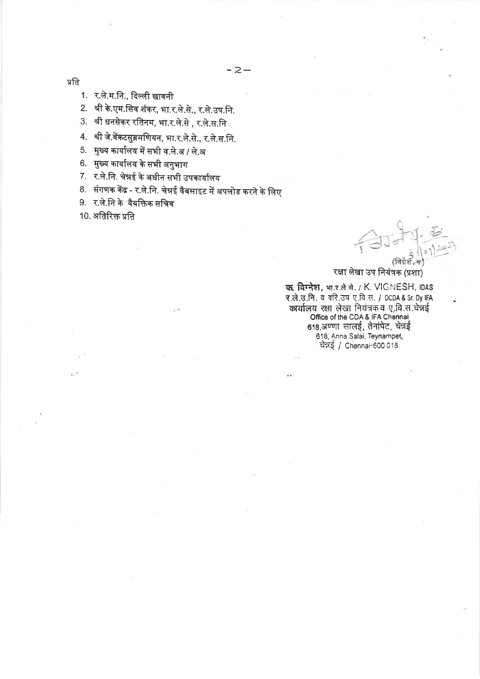प्रति

1. र.ले.म.नि., दिल्ली छावनी

2. श्री के.एम.सिव शंकर, भा.र.ले.से., र.ले.उप.नि.

3. श्री धनसेकर रतिनम, भा.र.ले.से , र.ले.स.नि

4. श्री जे.वेंकटसुब्रमणियन, भा.र.ले.से., र.ले.स.नि.

5. मुख्य कार्यालय में सभी व.ले.अ / ले.अ

6. मुख्य कार्यालय के सभी अनुभाग

7. र.ले.नि. चेन्नई के अधीन सभी उपकार्यालय

8. संगणक केंद्र - र.ले.नि. चेन्नई वैबसाइट में अपलोड करने के लिए

9. र.ले.नि के वैयक्तिक सचिव

10. अतिरिक्त प्रति

### रक्षा लेखा उप नियंत्रक (प्रशा)

क, विग्नेश, भार.ते.से. / K. VIGNESH, IDAS र.ले.उ.नि. व वरि.उप ए.वि.स. / DCDA & Sr. Dy IFA कार्यालय रक्षा लेखा नियंत्रक व ए.वि.स.चेन्नई Coffice of the CDA & IFA Chennai<br>618,अण्णा सालई, तेनांपेट, चेन्नई 618, Anna Salai, Teynampet, चेन्नई / Chennai-600 018.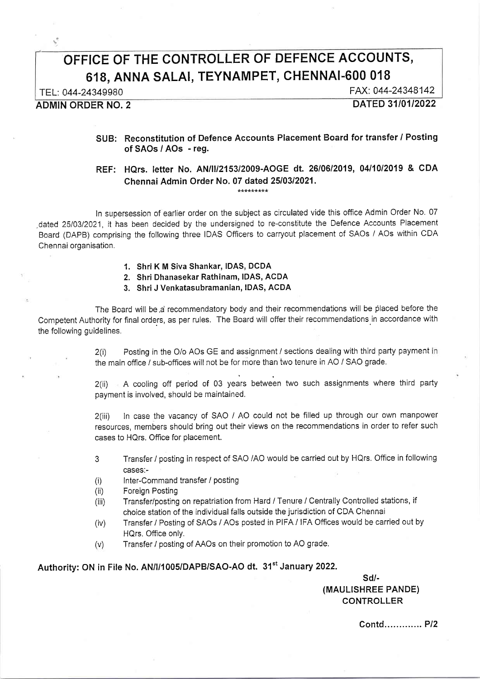# OFFICE OF THE CONTROLLER OF DEFENCE ACGOUNTS, 618, ANNA SALAI, TEYNAMPET, CHENNAI.6OO 018

Ŝ.

TEL: 044-24349980<br>
FAX: 044-24348142<br>
DATED 31/01/2022

**ADMIN ORDER NO. 2** 

### SUB: Reconstitution of Defence Accounts Placement Board for transfer / Posting of SAOs / AOs - reg.

## REF: HQrs. letter No. AN/ll/2153/2009-AOGE dt. 26/0612019, 0411012019 & CDA Chennai Admin Order No. 07 dated 25/03/2021.

ln supersession of earlier order on the subject as circulated vide this office Admin Order No. 07 dated 25/03/2021, it has been decided by the undersigned to re-constitute the Defence Accounts Placement Board (DAPB) comprising the following three IDAS Officers to carryout placement of SAOs / AOs within CDA Chennai organisation.

#### 1. ShriK M Siva Shankar, IDAS, DCDA

2. Shri Dhanasekar Rathinam, IDAS, ACDA

3. ShriJ Venkatasubramanian, IDAS, ACDA

The Board will be a recommendatory body and their recommendations will be placed before the Competent Authority for final orders, as per rules. The Board will offer their recommendations in accordance with the following guidelines.

> 2(i) Posting in the O/o AOs GE and assignment / sections dealing with third party payment in the main office / sub-offices will not be for more than two tenure in AO / SAO grade.

> 2(ii) A cooling off period of 03 years between two such assignments where third party payment is involved, should be maintained.

> 2(iii) ln case the vacancy of SAO / AO could not be filled up through our own manpower resources, members should bring out their views on the recommendations in order to refer such cases to HQrs. Office for placement.

> 3 Transfer / posting in respect of SAO /AO would be carried out by HQrs. Office in following cases:-

- (i) lnter-Command transfer / posting
- (ii) Foreign Posting
- (iii) Transfer/posting on repatriation from Hard / Tenure / Centrally Controlled stations, if choice station of the individual falls outside the jurisdiction of CDA Chennai
- (iv) Transfer / Posting of SAOs / AOs posted in PIFA / IFA Offices would be carried out by HQrs. Office only.
- (v) Transfer / posting of AAOs on their promotion to AO grade.

Authority: ON in File No. AN/I/1005/DAPB/SAO-AO dt. 31<sup>st</sup> January 2022.

sd/- (MAULISHREE PANDE) CONTROLLER

Contd...... ....... Pl2